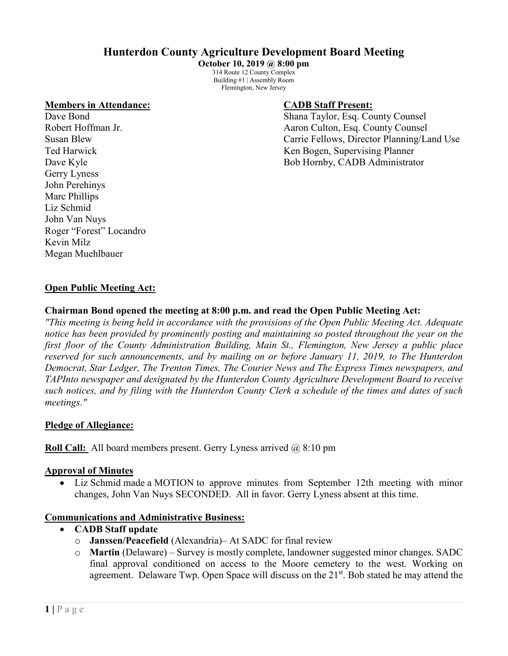# **Hunterdon County Agriculture Development Board Meeting**

**October 10, 2019 @ 8:00 pm** 314 Route 12 County Complex Building #1 | Assembly Room Flemington, New Jersey

### **Members in Attendance: CADB Staff Present:**

Gerry Lyness John Perehinys Marc Phillips Liz Schmid John Van Nuys Roger "Forest" Locandro Kevin Milz Megan Muehlbauer

Dave Bond Shana Taylor, Esq. County Counsel Robert Hoffman Jr. **All Accord Accounty Counsel** Aaron Culton, Esq. County Counsel Susan Blew Carrie Fellows, Director Planning/Land Use Ted Harwick Ken Bogen, Supervising Planner Dave Kyle Bob Hornby, CADB Administrator

## **Open Public Meeting Act:**

## **Chairman Bond opened the meeting at 8:00 p.m. and read the Open Public Meeting Act:**

*"This meeting is being held in accordance with the provisions of the Open Public Meeting Act. Adequate notice has been provided by prominently posting and maintaining so posted throughout the year on the first floor of the County Administration Building, Main St., Flemington, New Jersey a public place reserved for such announcements, and by mailing on or before January 11, 2019, to The Hunterdon Democrat, Star Ledger, The Trenton Times, The Courier News and The Express Times newspapers, and TAPInto newspaper and designated by the Hunterdon County Agriculture Development Board to receive such notices, and by filing with the Hunterdon County Clerk a schedule of the times and dates of such meetings."*

## **Pledge of Allegiance:**

**Roll Call:** All board members present. Gerry Lyness arrived @ 8:10 pm

## **Approval of Minutes**

• Liz Schmid made a MOTION to approve minutes from September 12th meeting with minor changes, John Van Nuys SECONDED. All in favor. Gerry Lyness absent at this time.

## **Communications and Administrative Business:**

- **CADB Staff update**
	- o **Janssen/Peacefield** (Alexandria)– At SADC for final review
	- o **Martin** (Delaware) Survey is mostly complete, landowner suggested minor changes. SADC final approval conditioned on access to the Moore cemetery to the west. Working on agreement. Delaware Twp. Open Space will discuss on the  $21<sup>st</sup>$ . Bob stated he may attend the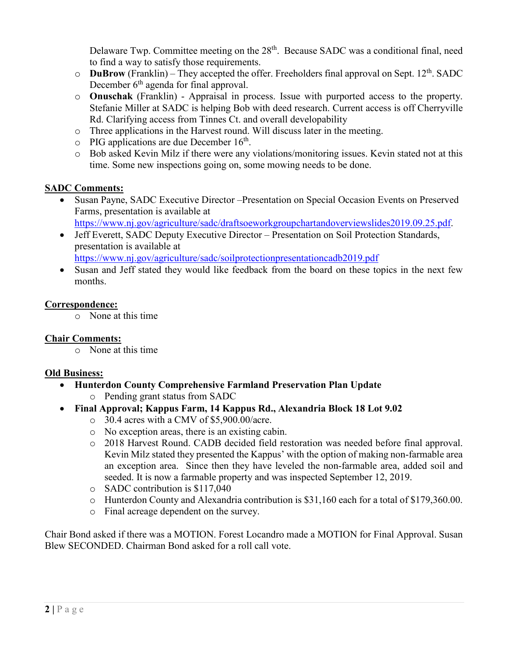Delaware Twp. Committee meeting on the 28<sup>th</sup>. Because SADC was a conditional final, need to find a way to satisfy those requirements.

- $\circ$  **DuBrow** (Franklin) They accepted the offer. Freeholders final approval on Sept. 12<sup>th</sup>. SADC December  $6<sup>th</sup>$  agenda for final approval.
- o **Onuschak** (Franklin) Appraisal in process. Issue with purported access to the property. Stefanie Miller at SADC is helping Bob with deed research. Current access is off Cherryville Rd. Clarifying access from Tinnes Ct. and overall developability
- o Three applications in the Harvest round. Will discuss later in the meeting.
- $\circ$  PIG applications are due December 16<sup>th</sup>.
- o Bob asked Kevin Milz if there were any violations/monitoring issues. Kevin stated not at this time. Some new inspections going on, some mowing needs to be done.

# **SADC Comments:**

- Susan Payne, SADC Executive Director –Presentation on Special Occasion Events on Preserved Farms, presentation is available at [https://www.nj.gov/agriculture/sadc/draftsoeworkgroupchartandoverviewslides2019.09.25.pdf.](https://www.nj.gov/agriculture/sadc/draftsoeworkgroupchartandoverviewslides2019.09.25.pdf)
- Jeff Everett, SADC Deputy Executive Director Presentation on Soil Protection Standards, presentation is available at <https://www.nj.gov/agriculture/sadc/soilprotectionpresentationcadb2019.pdf>
- Susan and Jeff stated they would like feedback from the board on these topics in the next few months.

# **Correspondence:**

o None at this time

# **Chair Comments:**

o None at this time

# **Old Business:**

- **Hunterdon County Comprehensive Farmland Preservation Plan Update**
	- o Pending grant status from SADC
- **Final Approval; Kappus Farm, 14 Kappus Rd., Alexandria Block 18 Lot 9.02**
	- o 30.4 acres with a CMV of \$5,900.00/acre.
	- o No exception areas, there is an existing cabin.
	- o 2018 Harvest Round. CADB decided field restoration was needed before final approval. Kevin Milz stated they presented the Kappus' with the option of making non-farmable area an exception area. Since then they have leveled the non-farmable area, added soil and seeded. It is now a farmable property and was inspected September 12, 2019.
	- o SADC contribution is \$117,040
	- o Hunterdon County and Alexandria contribution is \$31,160 each for a total of \$179,360.00.
	- o Final acreage dependent on the survey.

Chair Bond asked if there was a MOTION. Forest Locandro made a MOTION for Final Approval. Susan Blew SECONDED. Chairman Bond asked for a roll call vote.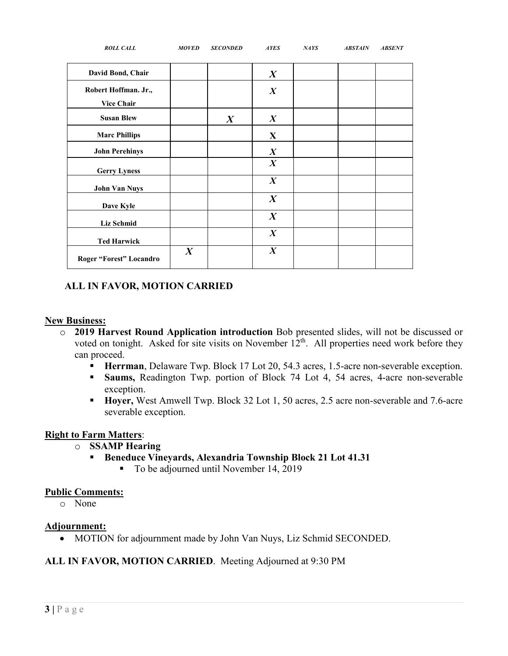| <b>ROLL CALL</b>                          | <b>MOVED</b>     | <b>SECONDED</b>  | <b>AYES</b>      | <b>NAYS</b> | <b>ABSTAIN</b> | <b>ABSENT</b> |
|-------------------------------------------|------------------|------------------|------------------|-------------|----------------|---------------|
| David Bond, Chair                         |                  |                  | $\boldsymbol{X}$ |             |                |               |
| Robert Hoffman. Jr.,<br><b>Vice Chair</b> |                  |                  | $\boldsymbol{X}$ |             |                |               |
| <b>Susan Blew</b>                         |                  | $\boldsymbol{X}$ | $\boldsymbol{X}$ |             |                |               |
| <b>Marc Phillips</b>                      |                  |                  | $\mathbf{X}$     |             |                |               |
| <b>John Perehinys</b>                     |                  |                  | $\boldsymbol{X}$ |             |                |               |
| <b>Gerry Lyness</b>                       |                  |                  | $\boldsymbol{X}$ |             |                |               |
| <b>John Van Nuys</b>                      |                  |                  | $\boldsymbol{X}$ |             |                |               |
| Dave Kyle                                 |                  |                  | $\boldsymbol{X}$ |             |                |               |
| <b>Liz Schmid</b>                         |                  |                  | $\boldsymbol{X}$ |             |                |               |
| <b>Ted Harwick</b>                        |                  |                  | $\boldsymbol{X}$ |             |                |               |
| Roger "Forest" Locandro                   | $\boldsymbol{X}$ |                  | $\boldsymbol{X}$ |             |                |               |

# **ALL IN FAVOR, MOTION CARRIED**

#### **New Business:**

- o **2019 Harvest Round Application introduction** Bob presented slides, will not be discussed or voted on tonight. Asked for site visits on November 12<sup>th</sup>. All properties need work before they can proceed.
	- **Herrman**, Delaware Twp. Block 17 Lot 20, 54.3 acres, 1.5-acre non-severable exception.
	- **Saums,** Readington Twp. portion of Block 74 Lot 4, 54 acres, 4-acre non-severable exception.
	- **Hoyer,** West Amwell Twp. Block 32 Lot 1, 50 acres, 2.5 acre non-severable and 7.6-acre severable exception.

## **Right to Farm Matters**:

- o **SSAMP Hearing**
	- **Beneduce Vineyards, Alexandria Township Block 21 Lot 41.31** 
		- To be adjourned until November 14, 2019

#### **Public Comments:**

o None

## **Adjournment:**

• MOTION for adjournment made by John Van Nuys, Liz Schmid SECONDED.

## **ALL IN FAVOR, MOTION CARRIED**. Meeting Adjourned at 9:30 PM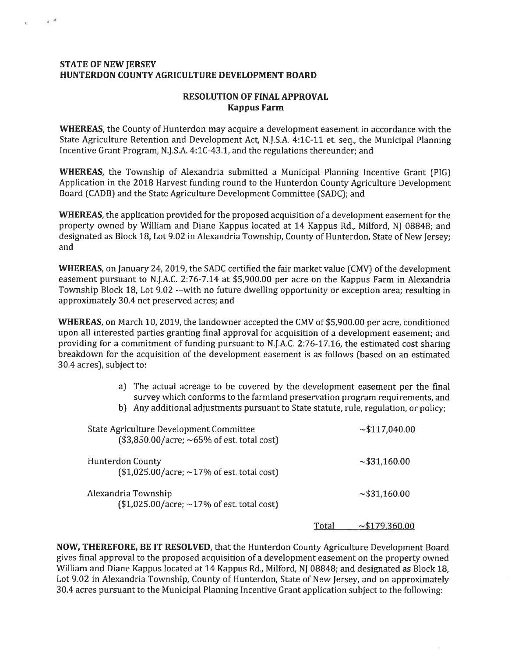#### **STATE OF NEW JERSEY** HUNTERDON COUNTY AGRICULTURE DEVELOPMENT BOARD

فري

#### **RESOLUTION OF FINAL APPROVAL Kappus Farm**

**WHEREAS**, the County of Hunterdon may acquire a development easement in accordance with the State Agriculture Retention and Development Act, N.J.S.A. 4:1C-11 et. seq., the Municipal Planning Incentive Grant Program, N.J.S.A. 4:1C-43.1, and the regulations thereunder; and

**WHEREAS**, the Township of Alexandria submitted a Municipal Planning Incentive Grant (PIG) Application in the 2018 Harvest funding round to the Hunterdon County Agriculture Development Board (CADB) and the State Agriculture Development Committee (SADC); and

**WHEREAS**, the application provided for the proposed acquisition of a development easement for the property owned by William and Diane Kappus located at 14 Kappus Rd., Milford, NJ 08848; and designated as Block 18, Lot 9.02 in Alexandria Township, County of Hunterdon, State of New Jersey; and

WHEREAS, on January 24, 2019, the SADC certified the fair market value (CMV) of the development easement pursuant to N.J.A.C. 2:76-7.14 at \$5,900.00 per acre on the Kappus Farm in Alexandria Township Block 18, Lot 9.02 --with no future dwelling opportunity or exception area; resulting in approximately 30.4 net preserved acres; and

**WHEREAS**, on March 10, 2019, the landowner accepted the CMV of \$5,900.00 per acre, conditioned upon all interested parties granting final approval for acquisition of a development easement; and providing for a commitment of funding pursuant to N.J.A.C. 2:76-17.16, the estimated cost sharing breakdown for the acquisition of the development easement is as follows (based on an estimated 30.4 acres), subject to:

- a) The actual acreage to be covered by the development easement per the final survey which conforms to the farmland preservation program requirements, and
- b) Any additional adjustments pursuant to State statute, rule, regulation, or policy;

| State Agriculture Development Committee<br>$($3,850.00/acre; ~65% of est. total cost)$ |       | $\sim$ \$117,040.00 |
|----------------------------------------------------------------------------------------|-------|---------------------|
| <b>Hunterdon County</b><br>$$1,025.00/acre; ~17%$ of est. total cost)                  |       | $\sim$ \$31,160.00  |
| Alexandria Township<br>$$1,025.00/acre; ~17%$ of est. total cost)                      |       | $\sim$ \$31,160.00  |
|                                                                                        | Total | ~179,360.00         |

NOW, THEREFORE, BE IT RESOLVED, that the Hunterdon County Agriculture Development Board gives final approval to the proposed acquisition of a development easement on the property owned William and Diane Kappus located at 14 Kappus Rd., Milford, NJ 08848; and designated as Block 18, Lot 9.02 in Alexandria Township, County of Hunterdon, State of New Jersey, and on approximately 30.4 acres pursuant to the Municipal Planning Incentive Grant application subject to the following: